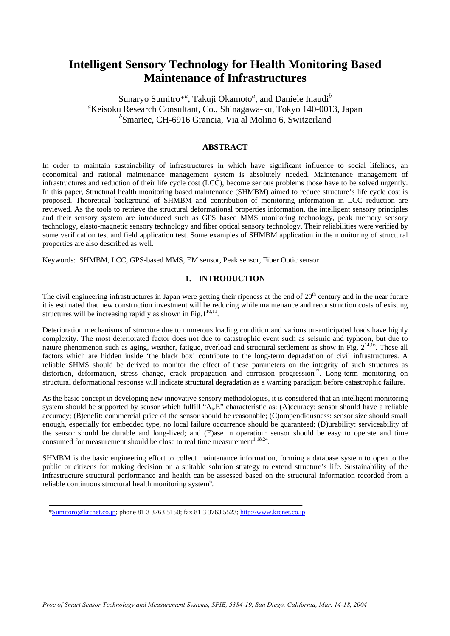# **Intelligent Sensory Technology for Health Monitoring Based Maintenance of Infrastructures**

Sunaryo Sumitro<sup>\**a*</sup>, Takuji Okamoto<sup>*a*</sup>, and Daniele Inaudi<sup>*b*</sup><br><sup>*a*</sup>Veisolar Besserab Consultant, Co., Shinegawa lay Telayo 140,001  ${}^{\alpha}$ Keisoku Research Consultant, Co., Shinagawa-ku, Tokyo 140-0013, Japan *b* Smartec, CH-6916 Grancia, Via al Molino 6, Switzerland

## **ABSTRACT**

In order to maintain sustainability of infrastructures in which have significant influence to social lifelines, an economical and rational maintenance management system is absolutely needed. Maintenance management of infrastructures and reduction of their life cycle cost (LCC), become serious problems those have to be solved urgently. In this paper, Structural health monitoring based maintenance (SHMBM) aimed to reduce structure's life cycle cost is proposed. Theoretical background of SHMBM and contribution of monitoring information in LCC reduction are reviewed. As the tools to retrieve the structural deformational properties information, the intelligent sensory principles and their sensory system are introduced such as GPS based MMS monitoring technology, peak memory sensory technology, elasto-magnetic sensory technology and fiber optical sensory technology. Their reliabilities were verified by some verification test and field application test. Some examples of SHMBM application in the monitoring of structural properties are also described as well.

Keywords: SHMBM, LCC, GPS-based MMS, EM sensor, Peak sensor, Fiber Optic sensor

# **1. INTRODUCTION**

The civil engineering infrastructures in Japan were getting their ripeness at the end of  $20<sup>th</sup>$  century and in the near future it is estimated that new construction investment will be reducing while maintenance and reconstruction costs of existing structures will be increasing rapidly as shown in Fig.1<sup>10,11</sup>.

Deterioration mechanisms of structure due to numerous loading condition and various un-anticipated loads have highly complexity. The most deteriorated factor does not due to catastrophic event such as seismic and typhoon, but due to nature phenomenon such as aging, weather, fatigue, overload and structural settlement as show in Fig. 2<sup>14,16</sup>. These all factors which are hidden inside 'the black box' contribute to the long-term degradation of civil infrastructures. A reliable SHMS should be derived to monitor the effect of these parameters on the integrity of such structures as distortion, deformation, stress change, crack propagation and corrosion progression<sup>27</sup>. Long-term monitoring on structural deformational response will indicate structural degradation as a warning paradigm before catastrophic failure.

As the basic concept in developing new innovative sensory methodologies, it is considered that an intelligent monitoring system should be supported by sensor which fulfill " $A<sub>to</sub>E$ " characteristic as: (A)ccuracy: sensor should have a reliable accuracy; (B)enefit: commercial price of the sensor should be reasonable; (C)ompendiousness: sensor size should small enough, especially for embedded type, no local failure occurrence should be guaranteed; (D)urability: serviceability of the sensor should be durable and long-lived; and (E)ase in operation: sensor should be easy to operate and time consumed for measurement should be close to real time measurement $1,18,24$ .

SHMBM is the basic engineering effort to collect maintenance information, forming a database system to open to the public or citizens for making decision on a suitable solution strategy to extend structure's life. Sustainability of the infrastructure structural performance and health can be assessed based on the structural information recorded from a reliable continuous structural health monitoring system<sup>6</sup>.

\*[Sumitoro@krcnet.co.jp](mailto:Sumitoro@krcnet.co.jp); phone 81 3 3763 5150; fax 81 3 3763 5523; [http://www.krcnet.co.jp](http://www.krcnet.co.jp/)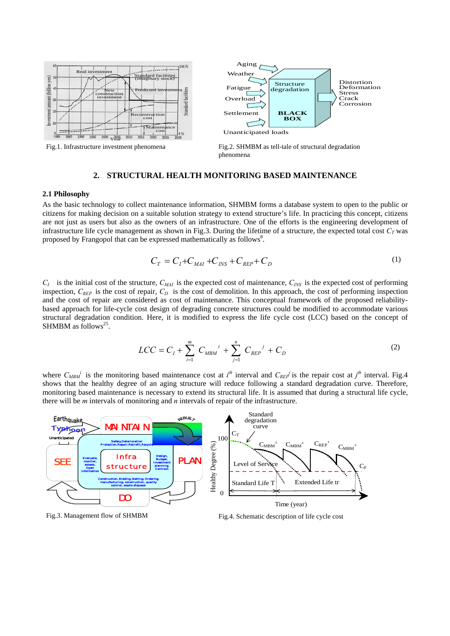



Fig.1. Infrastructure investment phenomena Fig.2. SHMBM as tell-tale of structural degradation phenomena

#### **2. STRUCTURAL HEALTH MONITORING BASED MAINTENANCE**

#### **2.1 Philosophy**

As the basic technology to collect maintenance information, SHMBM forms a database system to open to the public or citizens for making decision on a suitable solution strategy to extend structure's life. In practicing this concept, citizens are not just as users but also as the owners of an infrastructure. One of the efforts is the engineering development of infrastructure life cycle management as shown in Fig.3. During the lifetime of a structure, the expected total cost  $C_T$  was proposed by Frangopol that can be expressed mathematically as follows<sup>8</sup>.

$$
C_T = C_I + C_{MAI} + C_{INS} + C_{REP} + C_D
$$
 (1)

 $C_I$  is the initial cost of the structure,  $C_{MAI}$  is the expected cost of maintenance,  $C_{INS}$  is the expected cost of performing inspection,  $C_{REF}$  is the cost of repair,  $C_D$  is the cost of demolition. In this approach, the cost of performing inspection and the cost of repair are considered as cost of maintenance. This conceptual framework of the proposed reliabilitybased approach for life-cycle cost design of degrading concrete structures could be modified to accommodate various structural degradation condition. Here, it is modified to express the life cycle cost (LCC) based on the concept of SHMBM as follows<sup>25</sup>.

$$
LCC = C_I + \sum_{i=1}^{m} C_{MBM}^{i} + \sum_{j=1}^{n} C_{REP}^{j} + C_D
$$
 (2)

where  $C_{MBM}$ <sup>*i*</sup> is the monitoring based maintenance cost at *i*<sup>th</sup> interval and  $C_{RE}$ *j* is the repair cost at *j*<sup>th</sup> interval. Fig.4 shows that the healthy degree of an aging structure will reduce following a standard degradation curve. Therefore, monitoring based maintenance is necessary to extend its structural life. It is assumed that during a structural life cycle, there will be *m* intervals of monitoring and *n* intervals of repair of the infrastructure.



Fig.3. Management flow of SHMBM Fig.4. Schematic description of life cycle cost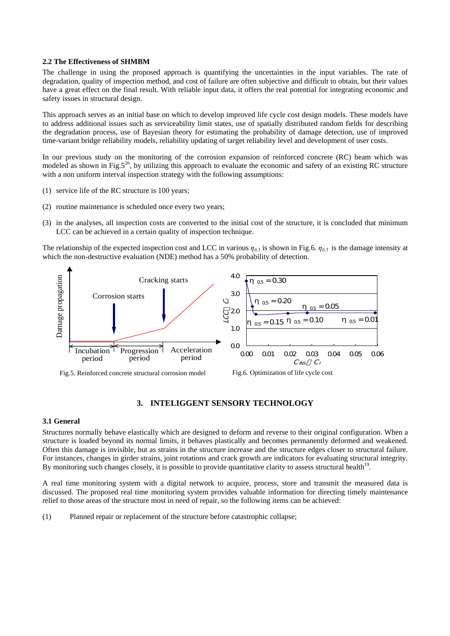#### **2.2 The Effectiveness of SHMBM**

The challenge in using the proposed approach is quantifying the uncertainties in the input variables. The rate of degradation, quality of inspection method, and cost of failure are often subjective and difficult to obtain, but their values have a great effect on the final result. With reliable input data, it offers the real potential for integrating economic and safety issues in structural design.

This approach serves as an initial base on which to develop improved life cycle cost design models. These models have to address additional issues such as serviceability limit states, use of spatially distributed random fields for describing the degradation process, use of Bayesian theory for estimating the probability of damage detection, use of improved time-variant bridge reliability models, reliability updating of target reliability level and development of user costs.

In our previous study on the monitoring of the corrosion expansion of reinforced concrete (RC) beam which was modeled as shown in Fig. $5^{26}$ , by utilizing this approach to evaluate the economic and safety of an existing RC structure with a non uniform interval inspection strategy with the following assumptions:

- (1) service life of the RC structure is 100 years;
- (2) routine maintenance is scheduled once every two years;
- (3) in the analyses, all inspection costs are converted to the initial cost of the structure, it is concluded that minimum LCC can be achieved in a certain quality of inspection technique.

The relationship of the expected inspection cost and LCC in various *η0.5* is shown in Fig.6. *η0.5* is the damage intensity at which the non-destructive evaluation (NDE) method has a 50% probability of detection.



# **3. INTELIGGENT SENSORY TECHNOLOGY**

#### **3.1 General**

Structures normally behave elastically which are designed to deform and reverse to their original configuration. When a structure is loaded beyond its normal limits, it behaves plastically and becomes permanently deformed and weakened. Often this damage is invisible, but as strains in the structure increase and the structure edges closer to structural failure. For instances, changes in girder strains, joint rotations and crack growth are indicators for evaluating structural integrity. By monitoring such changes closely, it is possible to provide quantitative clarity to assess structural health<sup>19</sup>.

A real time monitoring system with a digital network to acquire, process, store and transmit the measured data is discussed. The proposed real time monitoring system provides valuable information for directing timely maintenance relief to those areas of the structure most in need of repair, so the following items can be achieved:

(1) Planned repair or replacement of the structure before catastrophic collapse;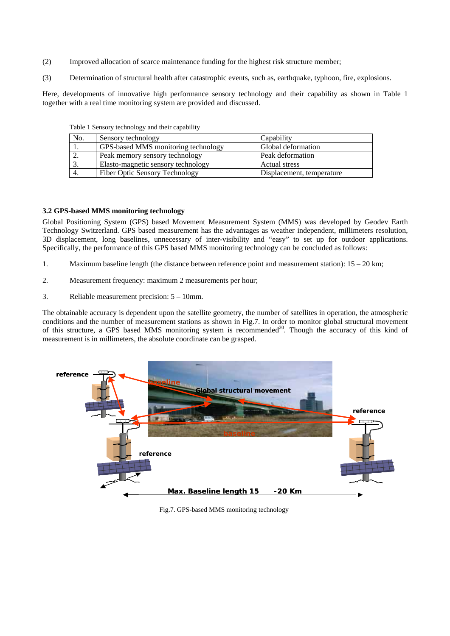- (2) Improved allocation of scarce maintenance funding for the highest risk structure member;
- (3) Determination of structural health after catastrophic events, such as, earthquake, typhoon, fire, explosions.

Here, developments of innovative high performance sensory technology and their capability as shown in Table 1 together with a real time monitoring system are provided and discussed.

| No. | Sensory technology                    | Capability                |
|-----|---------------------------------------|---------------------------|
|     | GPS-based MMS monitoring technology   | Global deformation        |
|     | Peak memory sensory technology        | Peak deformation          |
| 3.  | Elasto-magnetic sensory technology    | <b>Actual stress</b>      |
| 4.  | <b>Fiber Optic Sensory Technology</b> | Displacement, temperature |

Table 1 Sensory technology and their capability

### **3.2 GPS-based MMS monitoring technology**

Global Positioning System (GPS) based Movement Measurement System (MMS) was developed by Geodev Earth Technology Switzerland. GPS based measurement has the advantages as weather independent, millimeters resolution, 3D displacement, long baselines, unnecessary of inter-visibility and "easy" to set up for outdoor applications. Specifically, the performance of this GPS based MMS monitoring technology can be concluded as follows:

- 1. Maximum baseline length (the distance between reference point and measurement station): 15 20 km;
- 2. Measurement frequency: maximum 2 measurements per hour;
- 3. Reliable measurement precision: 5 10mm.

The obtainable accuracy is dependent upon the satellite geometry, the number of satellites in operation, the atmospheric conditions and the number of measurement stations as shown in Fig.7. In order to monitor global structural movement of this structure, a GPS based MMS monitoring system is recommended<sup>20</sup>. Though the accuracy of this kind of measurement is in millimeters, the absolute coordinate can be grasped.



Fig.7. GPS-based MMS monitoring technology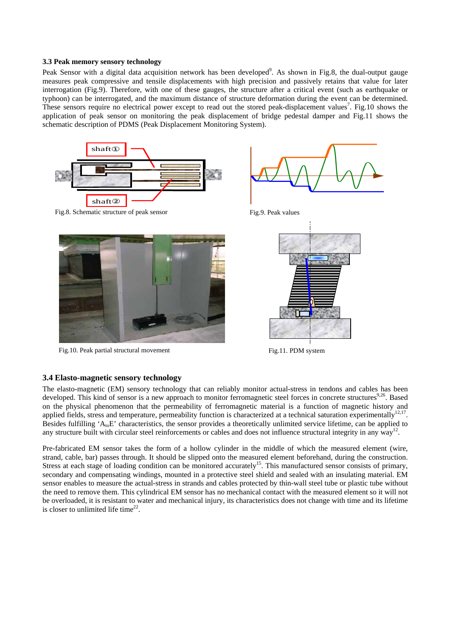#### **3.3 Peak memory sensory technology**

Peak Sensor with a digital data acquisition network has been developed<sup>9</sup>. As shown in Fig.8, the dual-output gauge measures peak compressive and tensile displacements with high precision and passively retains that value for later interrogation (Fig.9). Therefore, with one of these gauges, the structure after a critical event (such as earthquake or typhoon) can be interrogated, and the maximum distance of structure deformation during the event can be determined. These sensors require no electrical power except to read out the stored peak-displacement values<sup>7</sup>. Fig.10 shows the application of peak sensor on monitoring the peak displacement of bridge pedestal damper and Fig.11 shows the schematic description of PDMS (Peak Displacement Monitoring System).



Fig.8. Schematic structure of peak sensor Fig.9. Peak values



Fig.10. Peak partial structural movement Fig.11. PDM system





#### **3.4 Elasto-magnetic sensory technology**

The elasto-magnetic (EM) sensory technology that can reliably monitor actual-stress in tendons and cables has been developed. This kind of sensor is a new approach to monitor ferromagnetic steel forces in concrete structures<sup>9,26</sup>. Based on the physical phenomenon that the permeability of ferromagnetic material is a function of magnetic history and applied fields, stress and temperature, permeability function is characterized at a technical saturation experimentally $12,17$ . Besides fulfilling ' $A_{10}E$ ' characteristics, the sensor provides a theoretically unlimited service lifetime, can be applied to any structure built with circular steel reinforcements or cables and does not influence structural integrity in any way<sup>12</sup>.

Pre-fabricated EM sensor takes the form of a hollow cylinder in the middle of which the measured element (wire, strand, cable, bar) passes through. It should be slipped onto the measured element beforehand, during the construction. Stress at each stage of loading condition can be monitored accurately<sup>15</sup>. This manufactured sensor consists of primary, secondary and compensating windings, mounted in a protective steel shield and sealed with an insulating material. EM sensor enables to measure the actual-stress in strands and cables protected by thin-wall steel tube or plastic tube without the need to remove them. This cylindrical EM sensor has no mechanical contact with the measured element so it will not be overloaded, it is resistant to water and mechanical injury, its characteristics does not change with time and its lifetime is closer to unlimited life time 22.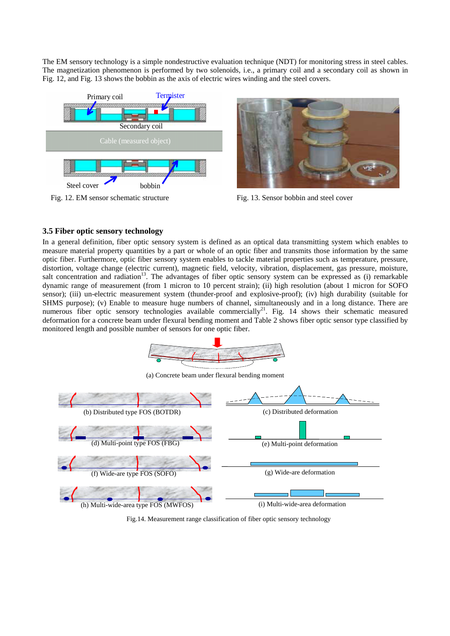The EM sensory technology is a simple nondestructive evaluation technique (NDT) for monitoring stress in steel cables. The magnetization phenomenon is performed by two solenoids, i.e., a primary coil and a secondary coil as shown in Fig. 12, and Fig. 13 shows the bobbin as the axis of electric wires winding and the steel covers.





Fig. 12. EM sensor schematic structure Fig. 13. Sensor bobbin and steel cover

# **3.5 Fiber optic sensory technology**

In a general definition, fiber optic sensory system is defined as an optical data transmitting system which enables to measure material property quantities by a part or whole of an optic fiber and transmits those information by the same optic fiber. Furthermore, optic fiber sensory system enables to tackle material properties such as temperature, pressure, distortion, voltage change (electric current), magnetic field, velocity, vibration, displacement, gas pressure, moisture, salt concentration and radiation<sup>13</sup>. The advantages of fiber optic sensory system can be expressed as (i) remarkable dynamic range of measurement (from 1 micron to 10 percent strain); (ii) high resolution (about 1 micron for SOFO sensor); (iii) un-electric measurement system (thunder-proof and explosive-proof); (iv) high durability (suitable for SHMS purpose); (v) Enable to measure huge numbers of channel, simultaneously and in a long distance. There are numerous fiber optic sensory technologies available commercially<sup>21</sup>. Fig. 14 shows their schematic measured deformation for a concrete beam under flexural bending moment and Table 2 shows fiber optic sensor type classified by monitored length and possible number of sensors for one optic fiber.



(a) Concrete beam under flexural bending moment



Fig.14. Measurement range classification of fiber optic sensory technology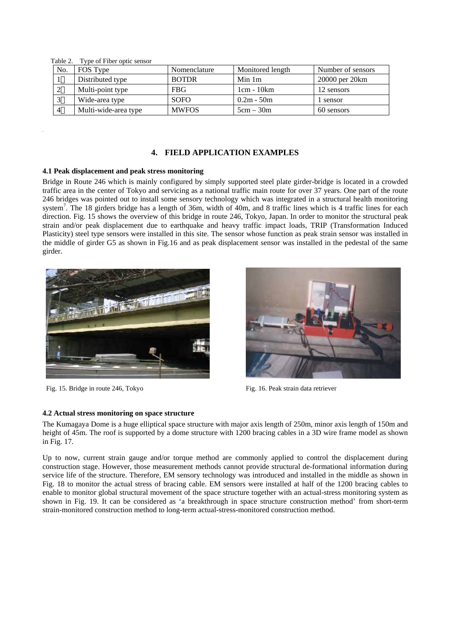| No. | FOS Type             | Nomenclature | Monitored length | Number of sensors |
|-----|----------------------|--------------|------------------|-------------------|
|     | Distributed type     | <b>BOTDR</b> | $Min_1m$         | 20000 per 20km    |
|     | Multi-point type     | FBG.         | $1cm - 10km$     | 12 sensors        |
|     | Wide-area type       | <b>SOFO</b>  | $0.2m - 50m$     | 1 sensor          |
|     | Multi-wide-area type | <b>MWFOS</b> | $5cm - 30m$      | 60 sensors        |

Table 2. Type of Fiber optic sensor

# **4. FIELD APPLICATION EXAMPLES**

# **4.1 Peak displacement and peak stress monitoring**

Bridge in Route 246 which is mainly configured by simply supported steel plate girder-bridge is located in a crowded traffic area in the center of Tokyo and servicing as a national traffic main route for over 37 years. One part of the route 246 bridges was pointed out to install some sensory technology which was integrated in a structural health monitoring system<sup>7</sup>. The 18 girders bridge has a length of 36m, width of 40m, and 8 traffic lines which is 4 traffic lines for each direction. Fig. 15 shows the overview of this bridge in route 246, Tokyo, Japan. In order to monitor the structural peak strain and/or peak displacement due to earthquake and heavy traffic impact loads, TRIP (Transformation Induced Plasticity) steel type sensors were installed in this site. The sensor whose function as peak strain sensor was installed in the middle of girder G5 as shown in Fig.16 and as peak displacement sensor was installed in the pedestal of the same girder.



Fig. 15. Bridge in route 246, Tokyo Fig. 16. Peak strain data retriever



#### **4.2 Actual stress monitoring on space structure**

The Kumagaya Dome is a huge elliptical space structure with major axis length of 250m, minor axis length of 150m and height of 45m. The roof is supported by a dome structure with 1200 bracing cables in a 3D wire frame model as shown in Fig. 17.

Up to now, current strain gauge and/or torque method are commonly applied to control the displacement during construction stage. However, those measurement methods cannot provide structural de-formational information during service life of the structure. Therefore, EM sensory technology was introduced and installed in the middle as shown in Fig. 18 to monitor the actual stress of bracing cable. EM sensors were installed at half of the 1200 bracing cables to enable to monitor global structural movement of the space structure together with an actual-stress monitoring system as shown in Fig. 19. It can be considered as 'a breakthrough in space structure construction method' from short-term strain-monitored construction method to long-term actual-stress-monitored construction method.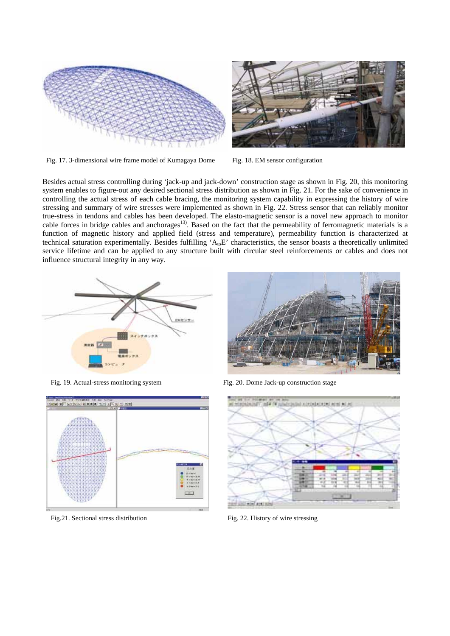



Fig. 17. 3-dimensional wire frame model of Kumagaya Dome Fig. 18. EM sensor configuration

Besides actual stress controlling during 'jack-up and jack-down' construction stage as shown in Fig. 20, this monitoring system enables to figure-out any desired sectional stress distribution as shown in Fig. 21. For the sake of convenience in controlling the actual stress of each cable bracing, the monitoring system capability in expressing the history of wire stressing and summary of wire stresses were implemented as shown in Fig. 22. Stress sensor that can reliably monitor true-stress in tendons and cables has been developed. The elasto-magnetic sensor is a novel new approach to monitor cable forces in bridge cables and anchorages<sup>13)</sup>. Based on the fact that the permeability of ferromagnetic materials is a function of magnetic history and applied field (stress and temperature), permeability function is characterized at technical saturation experimentally. Besides fulfilling 'AtoE' characteristics, the sensor boasts a theoretically unlimited service lifetime and can be applied to any structure built with circular steel reinforcements or cables and does not influence structural integrity in any way.





Fig.21. Sectional stress distribution Fig. 22. History of wire stressing



Fig. 19. Actual-stress monitoring system Fig. 20. Dome Jack-up construction stage

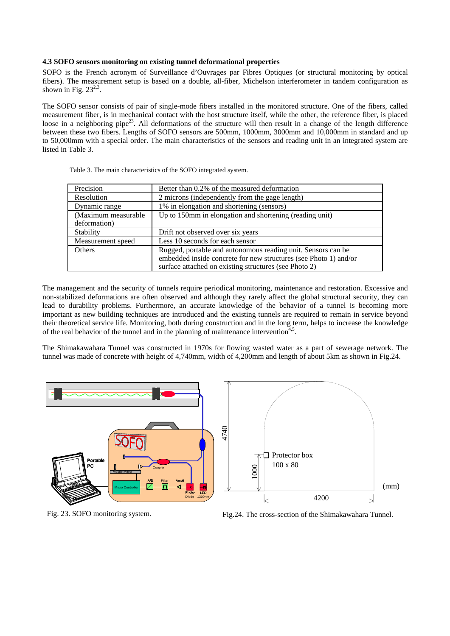#### **4.3 SOFO sensors monitoring on existing tunnel deformational properties**

SOFO is the French acronym of Surveillance d'Ouvrages par Fibres Optiques (or structural monitoring by optical fibers). The measurement setup is based on a double, all-fiber, Michelson interferometer in tandem configuration as shown in Fig.  $23^{2,3}$ .

The SOFO sensor consists of pair of single-mode fibers installed in the monitored structure. One of the fibers, called measurement fiber, is in mechanical contact with the host structure itself, while the other, the reference fiber, is placed loose in a neighboring pipe<sup>23</sup>. All deformations of the structure will then result in a change of the length difference between these two fibers. Lengths of SOFO sensors are 500mm, 1000mm, 3000mm and 10,000mm in standard and up to 50,000mm with a special order. The main characteristics of the sensors and reading unit in an integrated system are listed in Table 3.

Table 3. The main characteristics of the SOFO integrated system.

| Precision            | Better than 0.2% of the measured deformation                                                                                     |
|----------------------|----------------------------------------------------------------------------------------------------------------------------------|
| Resolution           | 2 microns (independently from the gage length)                                                                                   |
| Dynamic range        | 1% in elongation and shortening (sensors)                                                                                        |
| (Maximum measurable) | Up to 150mm in elongation and shortening (reading unit)                                                                          |
| deformation)         |                                                                                                                                  |
| Stability            | Drift not observed over six years                                                                                                |
| Measurement speed    | Less 10 seconds for each sensor                                                                                                  |
| <b>Others</b>        | Rugged, portable and autonomous reading unit. Sensors can be<br>embedded inside concrete for new structures (see Photo 1) and/or |
|                      | surface attached on existing structures (see Photo 2)                                                                            |

The management and the security of tunnels require periodical monitoring, maintenance and restoration. Excessive and non-stabilized deformations are often observed and although they rarely affect the global structural security, they can lead to durability problems. Furthermore, an accurate knowledge of the behavior of a tunnel is becoming more important as new building techniques are introduced and the existing tunnels are required to remain in service beyond their theoretical service life. Monitoring, both during construction and in the long term, helps to increase the knowledge of the real behavior of the tunnel and in the planning of maintenance intervention<sup>4,5</sup>.

The Shimakawahara Tunnel was constructed in 1970s for flowing wasted water as a part of sewerage network. The tunnel was made of concrete with height of 4,740mm, width of 4,200mm and length of about 5km as shown in Fig.24.



Fig. 23. SOFO monitoring system. Fig.24. The cross-section of the Shimakawahara Tunnel.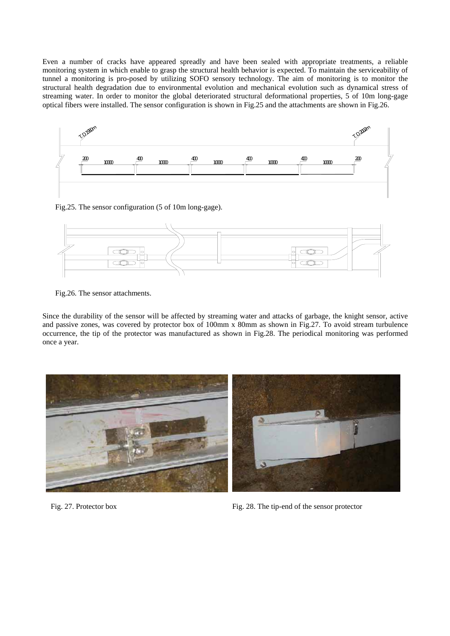Even a number of cracks have appeared spreadly and have been sealed with appropriate treatments, a reliable monitoring system in which enable to grasp the structural health behavior is expected. To maintain the serviceability of tunnel a monitoring is pro-posed by utilizing SOFO sensory technology. The aim of monitoring is to monitor the structural health degradation due to environmental evolution and mechanical evolution such as dynamical stress of streaming water. In order to monitor the global deteriorated structural deformational properties, 5 of 10m long-gage optical fibers were installed. The sensor configuration is shown in Fig.25 and the attachments are shown in Fig.26.



Fig.25. The sensor configuration (5 of 10m long-gage).



Fig.26. The sensor attachments.

Since the durability of the sensor will be affected by streaming water and attacks of garbage, the knight sensor, active and passive zones, was covered by protector box of 100mm x 80mm as shown in Fig.27. To avoid stream turbulence occurrence, the tip of the protector was manufactured as shown in Fig.28. The periodical monitoring was performed once a year.



Fig. 27. Protector box Fig. 28. The tip-end of the sensor protector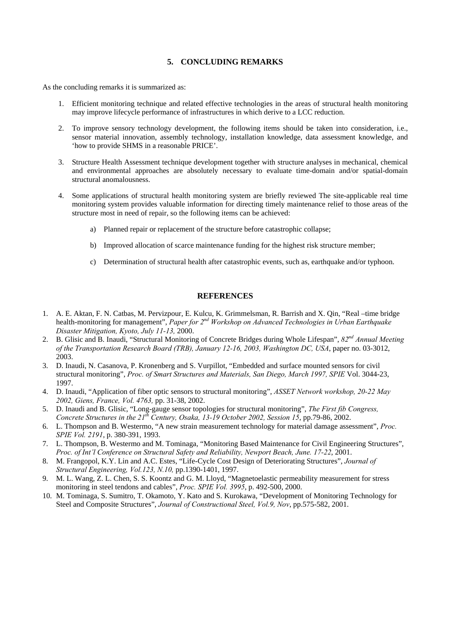# **5. CONCLUDING REMARKS**

As the concluding remarks it is summarized as:

- 1. Efficient monitoring technique and related effective technologies in the areas of structural health monitoring may improve lifecycle performance of infrastructures in which derive to a LCC reduction.
- 2. To improve sensory technology development, the following items should be taken into consideration, i.e., sensor material innovation, assembly technology, installation knowledge, data assessment knowledge, and 'how to provide SHMS in a reasonable PRICE'.
- 3. Structure Health Assessment technique development together with structure analyses in mechanical, chemical and environmental approaches are absolutely necessary to evaluate time-domain and/or spatial-domain structural anomalousness.
- 4. Some applications of structural health monitoring system are briefly reviewed The site-applicable real time monitoring system provides valuable information for directing timely maintenance relief to those areas of the structure most in need of repair, so the following items can be achieved:
	- a) Planned repair or replacement of the structure before catastrophic collapse;
	- b) Improved allocation of scarce maintenance funding for the highest risk structure member;
	- c) Determination of structural health after catastrophic events, such as, earthquake and/or typhoon.

## **REFERENCES**

- 1. A. E. Aktan, F. N. Catbas, M. Pervizpour, E. Kulcu, K. Grimmelsman, R. Barrish and X. Qin, "Real –time bridge health-monitoring for management", *Paper for 2nd Workshop on Advanced Technologies in Urban Earthquake Disaster Mitigation, Kyoto, July 11-13,* 2000.
- 2. B. Glisic and B. Inaudi, "Structural Monitoring of Concrete Bridges during Whole Lifespan", 82<sup>nd</sup> Annual Meeting *of the Transportation Research Board (TRB), January 12-16, 2003, Washington DC, USA*, paper no. 03-3012, 2003.
- 3. D. Inaudi, N. Casanova, P. Kronenberg and S. Vurpillot, "Embedded and surface mounted sensors for civil structural monitoring", *Proc. of Smart Structures and Materials, San Diego, March 1997, SPIE* Vol. 3044-23, 1997.
- 4. D. Inaudi, "Application of fiber optic sensors to structural monitoring", *ASSET Network workshop, 20-22 May 2002, Giens, France, Vol. 4763,* pp. 31-38, 2002.
- 5. D. Inaudi and B. Glisic, "Long-gauge sensor topologies for structural monitoring", *The First fib Congress, Concrete Structures in the 21<sup>th</sup> Century, Osaka, 13-19 October 2002, Session 15, pp.79-86, 2002.*
- 6. L. Thompson and B. Westermo, "A new strain measurement technology for material damage assessment", *Proc. SPIE Vol. 2191*, p. 380-391, 1993.
- 7. L. Thompson, B. Westermo and M. Tominaga, "Monitoring Based Maintenance for Civil Engineering Structures", *Proc. of Int'l Conference on Structural Safety and Reliability, Newport Beach, June. 17-22*, 2001.
- 8. M. Frangopol, K.Y. Lin and A.C. Estes, "Life-Cycle Cost Design of Deteriorating Structures", *Journal of Structural Engineering, Vol.123, N.10,* pp.1390-1401, 1997.
- 9. M. L. Wang, Z. L. Chen, S. S. Koontz and G. M. Lloyd, "Magnetoelastic permeability measurement for stress monitoring in steel tendons and cables", *Proc. SPIE Vol. 3995*, p. 492-500, 2000.
- 10. M. Tominaga, S. Sumitro, T. Okamoto, Y. Kato and S. Kurokawa, "Development of Monitoring Technology for Steel and Composite Structures", *Journal of Constructional Steel, Vol.9, Nov*, pp.575-582, 2001.